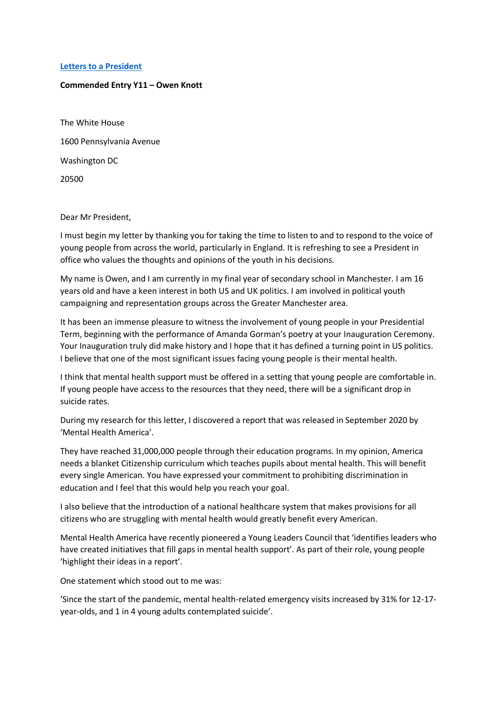## **Letters to [a President](https://www.alc.manchester.ac.uk/connect/schools/outreach/as-competition/)**

## **Commended Entry Y11 – Owen Knott**

The White House 1600 Pennsylvania Avenue Washington DC 20500

## Dear Mr President,

I must begin my letter by thanking you for taking the time to listen to and to respond to the voice of young people from across the world, particularly in England. It is refreshing to see a President in office who values the thoughts and opinions of the youth in his decisions.

My name is Owen, and I am currently in my final year of secondary school in Manchester. I am 16 years old and have a keen interest in both US and UK politics. I am involved in political youth campaigning and representation groups across the Greater Manchester area.

It has been an immense pleasure to witness the involvement of young people in your Presidential Term, beginning with the performance of Amanda Gorman's poetry at your Inauguration Ceremony. Your Inauguration truly did make history and I hope that it has defined a turning point in US politics. I believe that one of the most significant issues facing young people is their mental health.

I think that mental health support must be offered in a setting that young people are comfortable in. If young people have access to the resources that they need, there will be a significant drop in suicide rates.

During my research for this letter, I discovered a report that was released in September 2020 by 'Mental Health America'.

They have reached 31,000,000 people through their education programs. In my opinion, America needs a blanket Citizenship curriculum which teaches pupils about mental health. This will benefit every single American. You have expressed your commitment to prohibiting discrimination in education and I feel that this would help you reach your goal.

I also believe that the introduction of a national healthcare system that makes provisions for all citizens who are struggling with mental health would greatly benefit every American.

Mental Health America have recently pioneered a Young Leaders Council that 'identifies leaders who have created initiatives that fill gaps in mental health support'. As part of their role, young people 'highlight their ideas in a report'.

One statement which stood out to me was:

'Since the start of the pandemic, mental health-related emergency visits increased by 31% for 12-17 year-olds, and 1 in 4 young adults contemplated suicide'.